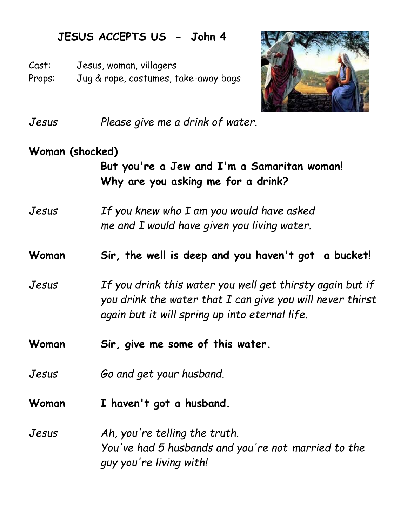## **JESUS ACCEPTS US - John 4**

Cast: Jesus, woman, villagers

Props: Jug & rope, costumes, take-away bags



*Jesus Please give me a drink of water.*

## **Woman (shocked)**

**But you're a Jew and I'm a Samaritan woman! Why are you asking me for a drink?**

*Jesus If you knew who I am you would have asked me and I would have given you living water.*

**Woman Sir, the well is deep and you haven't got a bucket!**

*Jesus If you drink this water you well get thirsty again but if you drink the water that I can give you will never thirst again but it will spring up into eternal life.* 

**Woman Sir, give me some of this water.**

*Jesus Go and get your husband.*

**Woman I haven't got a husband.**

*Jesus Ah, you're telling the truth. You've had 5 husbands and you're not married to the guy you're living with!*